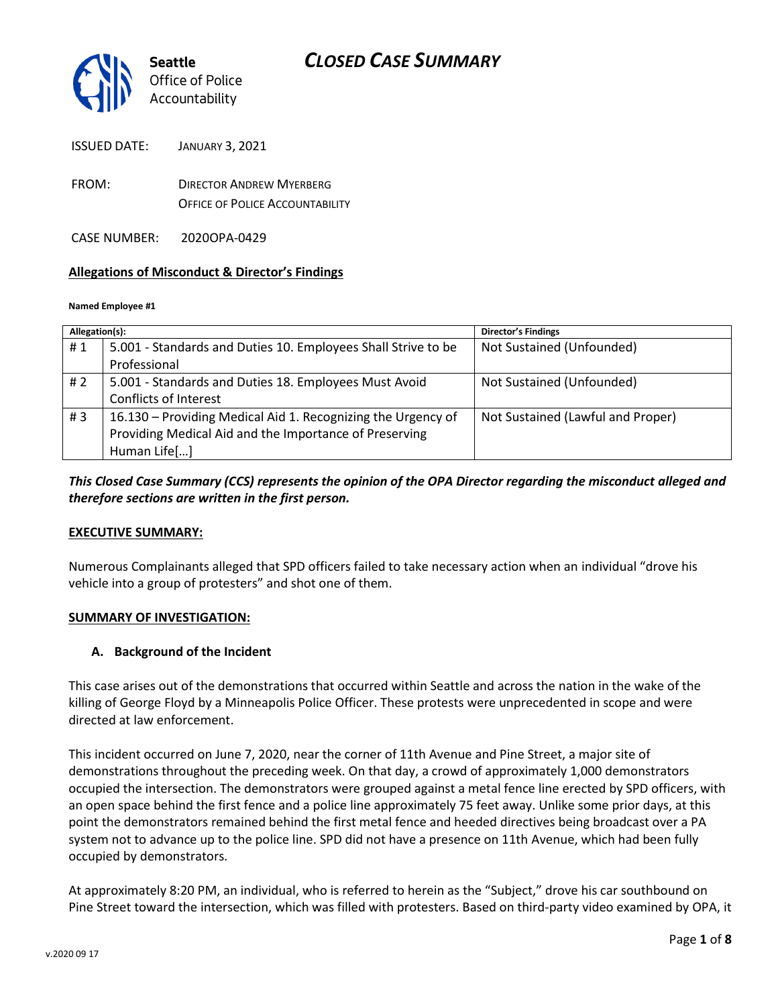

ISSUED DATE: JANUARY 3, 2021

FROM: DIRECTOR ANDREW MYERBERG OFFICE OF POLICE ACCOUNTABILITY

CASE NUMBER: 2020OPA-0429

#### **Allegations of Misconduct & Director's Findings**

#### **Named Employee #1**

| Allegation(s): |                                                               | <b>Director's Findings</b>        |
|----------------|---------------------------------------------------------------|-----------------------------------|
| #1             | 5.001 - Standards and Duties 10. Employees Shall Strive to be | Not Sustained (Unfounded)         |
|                | Professional                                                  |                                   |
| # 2            | 5.001 - Standards and Duties 18. Employees Must Avoid         | Not Sustained (Unfounded)         |
|                | Conflicts of Interest                                         |                                   |
| #3             | 16.130 - Providing Medical Aid 1. Recognizing the Urgency of  | Not Sustained (Lawful and Proper) |
|                | Providing Medical Aid and the Importance of Preserving        |                                   |
|                | Human Life[]                                                  |                                   |

*This Closed Case Summary (CCS) represents the opinion of the OPA Director regarding the misconduct alleged and therefore sections are written in the first person.* 

#### **EXECUTIVE SUMMARY:**

Numerous Complainants alleged that SPD officers failed to take necessary action when an individual "drove his vehicle into a group of protesters" and shot one of them.

#### **SUMMARY OF INVESTIGATION:**

#### **A. Background of the Incident**

This case arises out of the demonstrations that occurred within Seattle and across the nation in the wake of the killing of George Floyd by a Minneapolis Police Officer. These protests were unprecedented in scope and were directed at law enforcement.

This incident occurred on June 7, 2020, near the corner of 11th Avenue and Pine Street, a major site of demonstrations throughout the preceding week. On that day, a crowd of approximately 1,000 demonstrators occupied the intersection. The demonstrators were grouped against a metal fence line erected by SPD officers, with an open space behind the first fence and a police line approximately 75 feet away. Unlike some prior days, at this point the demonstrators remained behind the first metal fence and heeded directives being broadcast over a PA system not to advance up to the police line. SPD did not have a presence on 11th Avenue, which had been fully occupied by demonstrators.

At approximately 8:20 PM, an individual, who is referred to herein as the "Subject," drove his car southbound on Pine Street toward the intersection, which was filled with protesters. Based on third-party video examined by OPA, it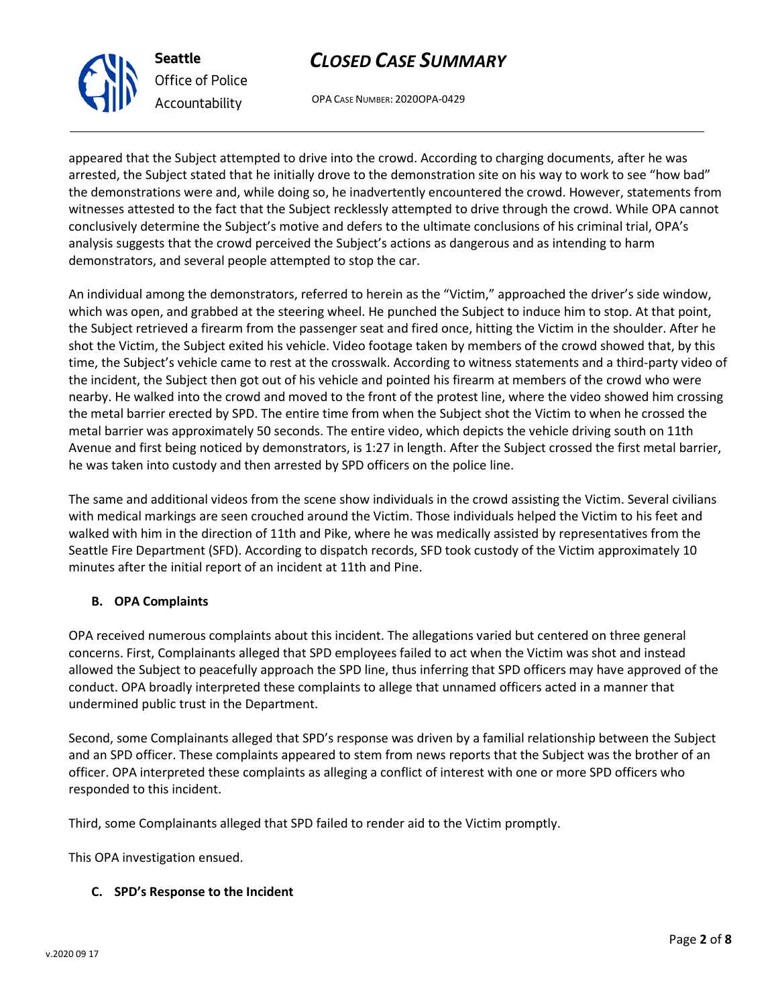OPA CASE NUMBER: 2020OPA-0429

appeared that the Subject attempted to drive into the crowd. According to charging documents, after he was arrested, the Subject stated that he initially drove to the demonstration site on his way to work to see "how bad" the demonstrations were and, while doing so, he inadvertently encountered the crowd. However, statements from witnesses attested to the fact that the Subject recklessly attempted to drive through the crowd. While OPA cannot conclusively determine the Subject's motive and defers to the ultimate conclusions of his criminal trial, OPA's analysis suggests that the crowd perceived the Subject's actions as dangerous and as intending to harm demonstrators, and several people attempted to stop the car.

An individual among the demonstrators, referred to herein as the "Victim," approached the driver's side window, which was open, and grabbed at the steering wheel. He punched the Subject to induce him to stop. At that point, the Subject retrieved a firearm from the passenger seat and fired once, hitting the Victim in the shoulder. After he shot the Victim, the Subject exited his vehicle. Video footage taken by members of the crowd showed that, by this time, the Subject's vehicle came to rest at the crosswalk. According to witness statements and a third-party video of the incident, the Subject then got out of his vehicle and pointed his firearm at members of the crowd who were nearby. He walked into the crowd and moved to the front of the protest line, where the video showed him crossing the metal barrier erected by SPD. The entire time from when the Subject shot the Victim to when he crossed the metal barrier was approximately 50 seconds. The entire video, which depicts the vehicle driving south on 11th Avenue and first being noticed by demonstrators, is 1:27 in length. After the Subject crossed the first metal barrier, he was taken into custody and then arrested by SPD officers on the police line.

The same and additional videos from the scene show individuals in the crowd assisting the Victim. Several civilians with medical markings are seen crouched around the Victim. Those individuals helped the Victim to his feet and walked with him in the direction of 11th and Pike, where he was medically assisted by representatives from the Seattle Fire Department (SFD). According to dispatch records, SFD took custody of the Victim approximately 10 minutes after the initial report of an incident at 11th and Pine.

## **B. OPA Complaints**

OPA received numerous complaints about this incident. The allegations varied but centered on three general concerns. First, Complainants alleged that SPD employees failed to act when the Victim was shot and instead allowed the Subject to peacefully approach the SPD line, thus inferring that SPD officers may have approved of the conduct. OPA broadly interpreted these complaints to allege that unnamed officers acted in a manner that undermined public trust in the Department.

Second, some Complainants alleged that SPD's response was driven by a familial relationship between the Subject and an SPD officer. These complaints appeared to stem from news reports that the Subject was the brother of an officer. OPA interpreted these complaints as alleging a conflict of interest with one or more SPD officers who responded to this incident.

Third, some Complainants alleged that SPD failed to render aid to the Victim promptly.

This OPA investigation ensued.

## **C. SPD's Response to the Incident**



**Seattle** *Office of Police Accountability*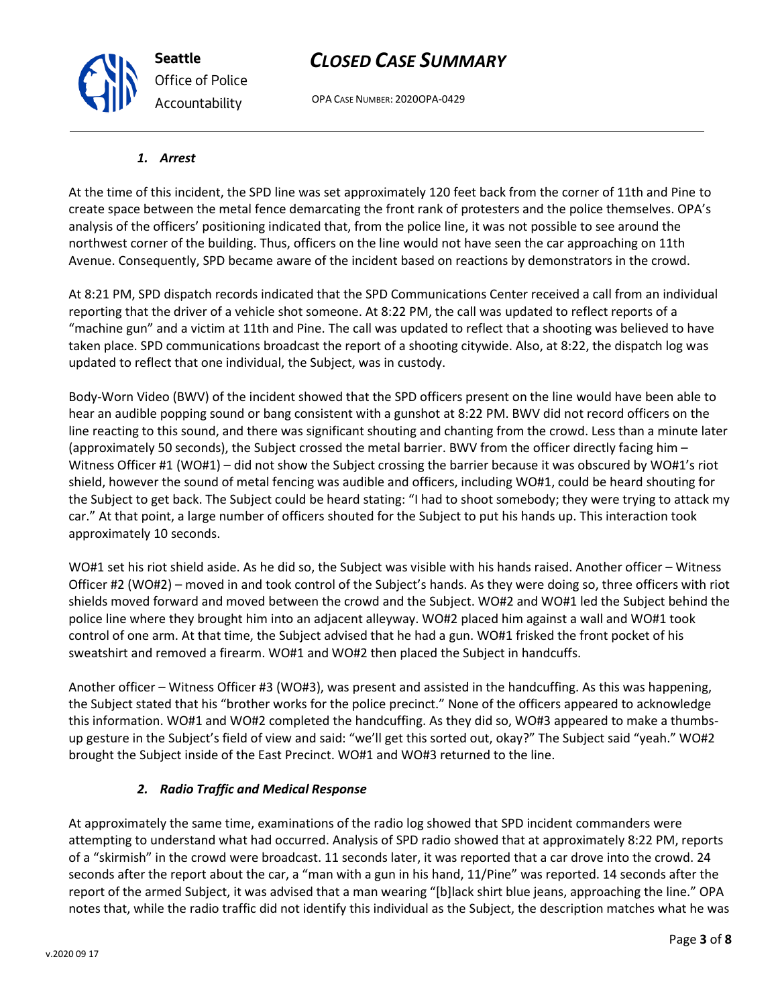OPA CASE NUMBER: 2020OPA-0429

#### *1. Arrest*

At the time of this incident, the SPD line was set approximately 120 feet back from the corner of 11th and Pine to create space between the metal fence demarcating the front rank of protesters and the police themselves. OPA's analysis of the officers' positioning indicated that, from the police line, it was not possible to see around the northwest corner of the building. Thus, officers on the line would not have seen the car approaching on 11th Avenue. Consequently, SPD became aware of the incident based on reactions by demonstrators in the crowd.

At 8:21 PM, SPD dispatch records indicated that the SPD Communications Center received a call from an individual reporting that the driver of a vehicle shot someone. At 8:22 PM, the call was updated to reflect reports of a "machine gun" and a victim at 11th and Pine. The call was updated to reflect that a shooting was believed to have taken place. SPD communications broadcast the report of a shooting citywide. Also, at 8:22, the dispatch log was updated to reflect that one individual, the Subject, was in custody.

Body-Worn Video (BWV) of the incident showed that the SPD officers present on the line would have been able to hear an audible popping sound or bang consistent with a gunshot at 8:22 PM. BWV did not record officers on the line reacting to this sound, and there was significant shouting and chanting from the crowd. Less than a minute later (approximately 50 seconds), the Subject crossed the metal barrier. BWV from the officer directly facing him – Witness Officer #1 (WO#1) – did not show the Subject crossing the barrier because it was obscured by WO#1's riot shield, however the sound of metal fencing was audible and officers, including WO#1, could be heard shouting for the Subject to get back. The Subject could be heard stating: "I had to shoot somebody; they were trying to attack my car." At that point, a large number of officers shouted for the Subject to put his hands up. This interaction took approximately 10 seconds.

WO#1 set his riot shield aside. As he did so, the Subject was visible with his hands raised. Another officer – Witness Officer #2 (WO#2) – moved in and took control of the Subject's hands. As they were doing so, three officers with riot shields moved forward and moved between the crowd and the Subject. WO#2 and WO#1 led the Subject behind the police line where they brought him into an adjacent alleyway. WO#2 placed him against a wall and WO#1 took control of one arm. At that time, the Subject advised that he had a gun. WO#1 frisked the front pocket of his sweatshirt and removed a firearm. WO#1 and WO#2 then placed the Subject in handcuffs.

Another officer – Witness Officer #3 (WO#3), was present and assisted in the handcuffing. As this was happening, the Subject stated that his "brother works for the police precinct." None of the officers appeared to acknowledge this information. WO#1 and WO#2 completed the handcuffing. As they did so, WO#3 appeared to make a thumbsup gesture in the Subject's field of view and said: "we'll get this sorted out, okay?" The Subject said "yeah." WO#2 brought the Subject inside of the East Precinct. WO#1 and WO#3 returned to the line.

## *2. Radio Traffic and Medical Response*

At approximately the same time, examinations of the radio log showed that SPD incident commanders were attempting to understand what had occurred. Analysis of SPD radio showed that at approximately 8:22 PM, reports of a "skirmish" in the crowd were broadcast. 11 seconds later, it was reported that a car drove into the crowd. 24 seconds after the report about the car, a "man with a gun in his hand, 11/Pine" was reported. 14 seconds after the report of the armed Subject, it was advised that a man wearing "[b]lack shirt blue jeans, approaching the line." OPA notes that, while the radio traffic did not identify this individual as the Subject, the description matches what he was



**Seattle** *Office of Police Accountability*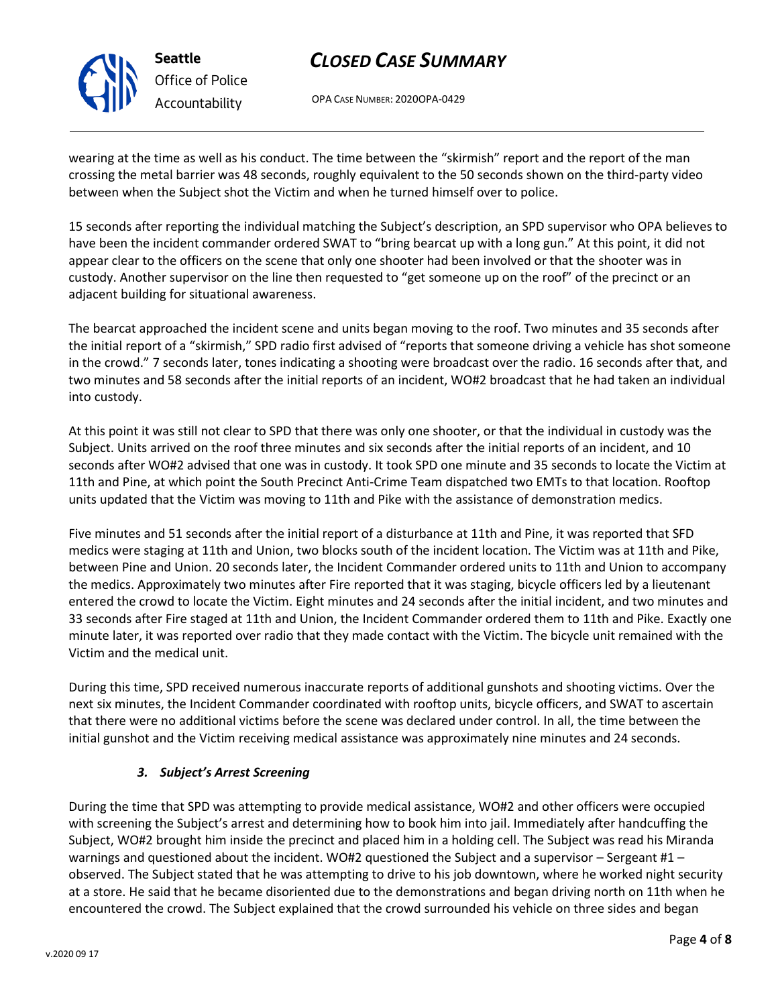OPA CASE NUMBER: 2020OPA-0429

wearing at the time as well as his conduct. The time between the "skirmish" report and the report of the man crossing the metal barrier was 48 seconds, roughly equivalent to the 50 seconds shown on the third-party video between when the Subject shot the Victim and when he turned himself over to police.

15 seconds after reporting the individual matching the Subject's description, an SPD supervisor who OPA believes to have been the incident commander ordered SWAT to "bring bearcat up with a long gun." At this point, it did not appear clear to the officers on the scene that only one shooter had been involved or that the shooter was in custody. Another supervisor on the line then requested to "get someone up on the roof" of the precinct or an adjacent building for situational awareness.

The bearcat approached the incident scene and units began moving to the roof. Two minutes and 35 seconds after the initial report of a "skirmish," SPD radio first advised of "reports that someone driving a vehicle has shot someone in the crowd." 7 seconds later, tones indicating a shooting were broadcast over the radio. 16 seconds after that, and two minutes and 58 seconds after the initial reports of an incident, WO#2 broadcast that he had taken an individual into custody.

At this point it was still not clear to SPD that there was only one shooter, or that the individual in custody was the Subject. Units arrived on the roof three minutes and six seconds after the initial reports of an incident, and 10 seconds after WO#2 advised that one was in custody. It took SPD one minute and 35 seconds to locate the Victim at 11th and Pine, at which point the South Precinct Anti-Crime Team dispatched two EMTs to that location. Rooftop units updated that the Victim was moving to 11th and Pike with the assistance of demonstration medics.

Five minutes and 51 seconds after the initial report of a disturbance at 11th and Pine, it was reported that SFD medics were staging at 11th and Union, two blocks south of the incident location. The Victim was at 11th and Pike, between Pine and Union. 20 seconds later, the Incident Commander ordered units to 11th and Union to accompany the medics. Approximately two minutes after Fire reported that it was staging, bicycle officers led by a lieutenant entered the crowd to locate the Victim. Eight minutes and 24 seconds after the initial incident, and two minutes and 33 seconds after Fire staged at 11th and Union, the Incident Commander ordered them to 11th and Pike. Exactly one minute later, it was reported over radio that they made contact with the Victim. The bicycle unit remained with the Victim and the medical unit.

During this time, SPD received numerous inaccurate reports of additional gunshots and shooting victims. Over the next six minutes, the Incident Commander coordinated with rooftop units, bicycle officers, and SWAT to ascertain that there were no additional victims before the scene was declared under control. In all, the time between the initial gunshot and the Victim receiving medical assistance was approximately nine minutes and 24 seconds.

## *3. Subject's Arrest Screening*

During the time that SPD was attempting to provide medical assistance, WO#2 and other officers were occupied with screening the Subject's arrest and determining how to book him into jail. Immediately after handcuffing the Subject, WO#2 brought him inside the precinct and placed him in a holding cell. The Subject was read his Miranda warnings and questioned about the incident. WO#2 questioned the Subject and a supervisor – Sergeant #1 – observed. The Subject stated that he was attempting to drive to his job downtown, where he worked night security at a store. He said that he became disoriented due to the demonstrations and began driving north on 11th when he encountered the crowd. The Subject explained that the crowd surrounded his vehicle on three sides and began



**Seattle**

*Office of Police Accountability*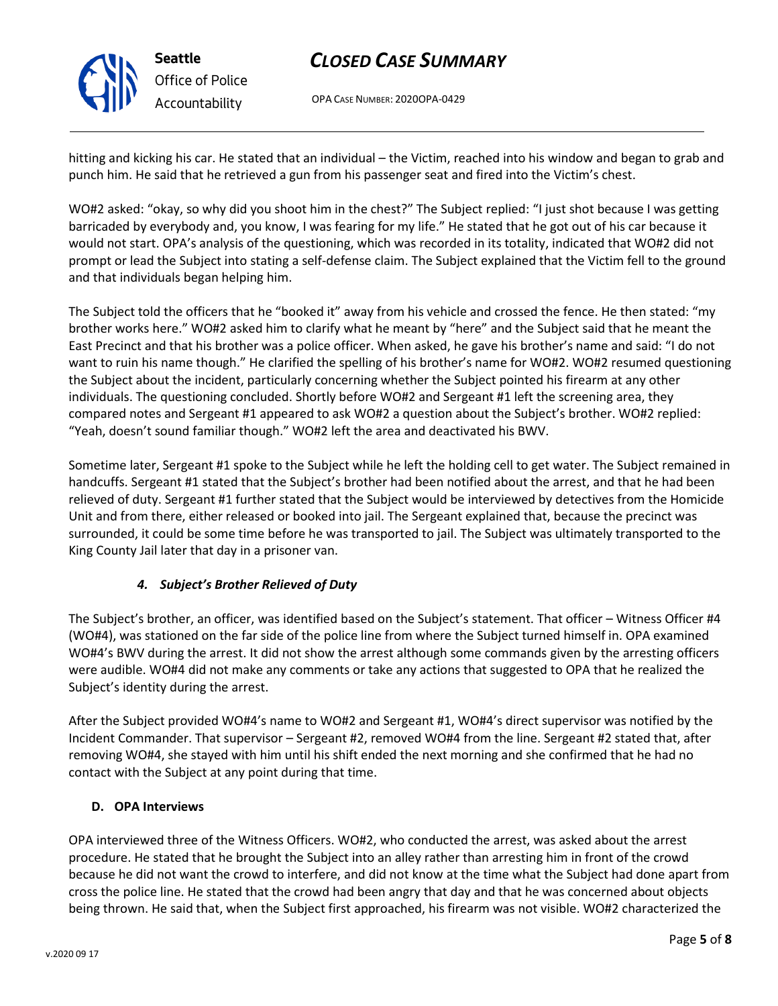

OPA CASE NUMBER: 2020OPA-0429

hitting and kicking his car. He stated that an individual – the Victim, reached into his window and began to grab and punch him. He said that he retrieved a gun from his passenger seat and fired into the Victim's chest.

WO#2 asked: "okay, so why did you shoot him in the chest?" The Subject replied: "I just shot because I was getting barricaded by everybody and, you know, I was fearing for my life." He stated that he got out of his car because it would not start. OPA's analysis of the questioning, which was recorded in its totality, indicated that WO#2 did not prompt or lead the Subject into stating a self-defense claim. The Subject explained that the Victim fell to the ground and that individuals began helping him.

The Subject told the officers that he "booked it" away from his vehicle and crossed the fence. He then stated: "my brother works here." WO#2 asked him to clarify what he meant by "here" and the Subject said that he meant the East Precinct and that his brother was a police officer. When asked, he gave his brother's name and said: "I do not want to ruin his name though." He clarified the spelling of his brother's name for WO#2. WO#2 resumed questioning the Subject about the incident, particularly concerning whether the Subject pointed his firearm at any other individuals. The questioning concluded. Shortly before WO#2 and Sergeant #1 left the screening area, they compared notes and Sergeant #1 appeared to ask WO#2 a question about the Subject's brother. WO#2 replied: "Yeah, doesn't sound familiar though." WO#2 left the area and deactivated his BWV.

Sometime later, Sergeant #1 spoke to the Subject while he left the holding cell to get water. The Subject remained in handcuffs. Sergeant #1 stated that the Subject's brother had been notified about the arrest, and that he had been relieved of duty. Sergeant #1 further stated that the Subject would be interviewed by detectives from the Homicide Unit and from there, either released or booked into jail. The Sergeant explained that, because the precinct was surrounded, it could be some time before he was transported to jail. The Subject was ultimately transported to the King County Jail later that day in a prisoner van.

## *4. Subject's Brother Relieved of Duty*

The Subject's brother, an officer, was identified based on the Subject's statement. That officer – Witness Officer #4 (WO#4), was stationed on the far side of the police line from where the Subject turned himself in. OPA examined WO#4's BWV during the arrest. It did not show the arrest although some commands given by the arresting officers were audible. WO#4 did not make any comments or take any actions that suggested to OPA that he realized the Subject's identity during the arrest.

After the Subject provided WO#4's name to WO#2 and Sergeant #1, WO#4's direct supervisor was notified by the Incident Commander. That supervisor – Sergeant #2, removed WO#4 from the line. Sergeant #2 stated that, after removing WO#4, she stayed with him until his shift ended the next morning and she confirmed that he had no contact with the Subject at any point during that time.

## **D. OPA Interviews**

OPA interviewed three of the Witness Officers. WO#2, who conducted the arrest, was asked about the arrest procedure. He stated that he brought the Subject into an alley rather than arresting him in front of the crowd because he did not want the crowd to interfere, and did not know at the time what the Subject had done apart from cross the police line. He stated that the crowd had been angry that day and that he was concerned about objects being thrown. He said that, when the Subject first approached, his firearm was not visible. WO#2 characterized the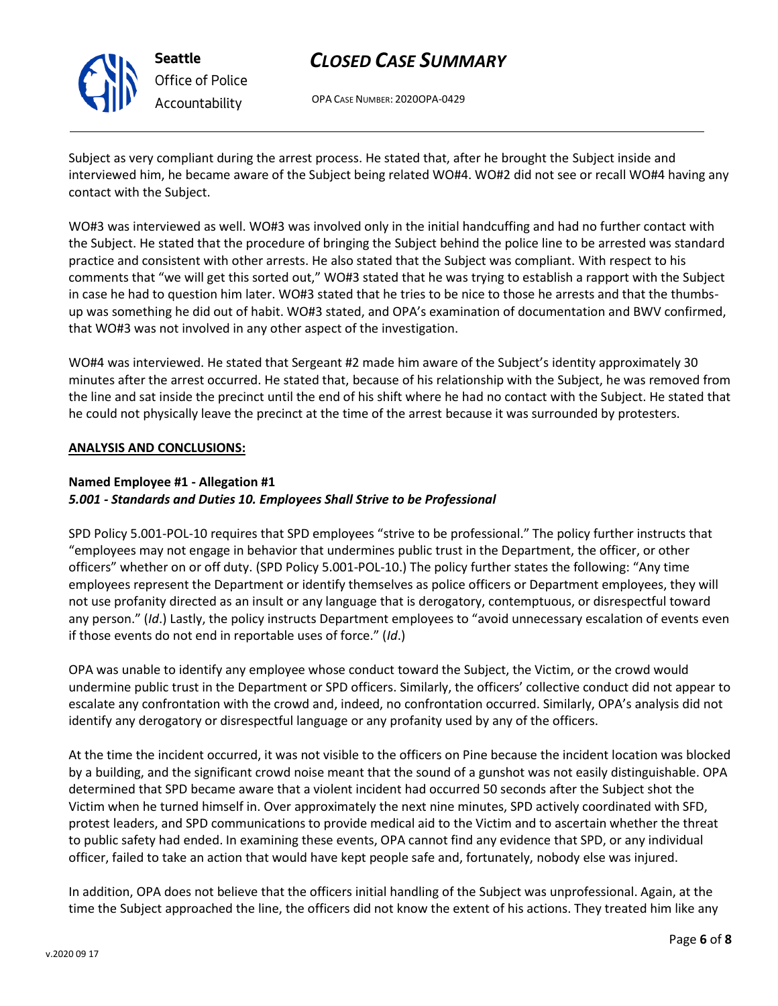

**Seattle** *Office of Police Accountability*

# *CLOSED CASE SUMMARY*

OPA CASE NUMBER: 2020OPA-0429

Subject as very compliant during the arrest process. He stated that, after he brought the Subject inside and interviewed him, he became aware of the Subject being related WO#4. WO#2 did not see or recall WO#4 having any contact with the Subject.

WO#3 was interviewed as well. WO#3 was involved only in the initial handcuffing and had no further contact with the Subject. He stated that the procedure of bringing the Subject behind the police line to be arrested was standard practice and consistent with other arrests. He also stated that the Subject was compliant. With respect to his comments that "we will get this sorted out," WO#3 stated that he was trying to establish a rapport with the Subject in case he had to question him later. WO#3 stated that he tries to be nice to those he arrests and that the thumbsup was something he did out of habit. WO#3 stated, and OPA's examination of documentation and BWV confirmed, that WO#3 was not involved in any other aspect of the investigation.

WO#4 was interviewed. He stated that Sergeant #2 made him aware of the Subject's identity approximately 30 minutes after the arrest occurred. He stated that, because of his relationship with the Subject, he was removed from the line and sat inside the precinct until the end of his shift where he had no contact with the Subject. He stated that he could not physically leave the precinct at the time of the arrest because it was surrounded by protesters.

## **ANALYSIS AND CONCLUSIONS:**

## **Named Employee #1 - Allegation #1**

## *5.001 - Standards and Duties 10. Employees Shall Strive to be Professional*

SPD Policy 5.001-POL-10 requires that SPD employees "strive to be professional." The policy further instructs that "employees may not engage in behavior that undermines public trust in the Department, the officer, or other officers" whether on or off duty. (SPD Policy 5.001-POL-10.) The policy further states the following: "Any time employees represent the Department or identify themselves as police officers or Department employees, they will not use profanity directed as an insult or any language that is derogatory, contemptuous, or disrespectful toward any person." (*Id*.) Lastly, the policy instructs Department employees to "avoid unnecessary escalation of events even if those events do not end in reportable uses of force." (*Id*.)

OPA was unable to identify any employee whose conduct toward the Subject, the Victim, or the crowd would undermine public trust in the Department or SPD officers. Similarly, the officers' collective conduct did not appear to escalate any confrontation with the crowd and, indeed, no confrontation occurred. Similarly, OPA's analysis did not identify any derogatory or disrespectful language or any profanity used by any of the officers.

At the time the incident occurred, it was not visible to the officers on Pine because the incident location was blocked by a building, and the significant crowd noise meant that the sound of a gunshot was not easily distinguishable. OPA determined that SPD became aware that a violent incident had occurred 50 seconds after the Subject shot the Victim when he turned himself in. Over approximately the next nine minutes, SPD actively coordinated with SFD, protest leaders, and SPD communications to provide medical aid to the Victim and to ascertain whether the threat to public safety had ended. In examining these events, OPA cannot find any evidence that SPD, or any individual officer, failed to take an action that would have kept people safe and, fortunately, nobody else was injured.

In addition, OPA does not believe that the officers initial handling of the Subject was unprofessional. Again, at the time the Subject approached the line, the officers did not know the extent of his actions. They treated him like any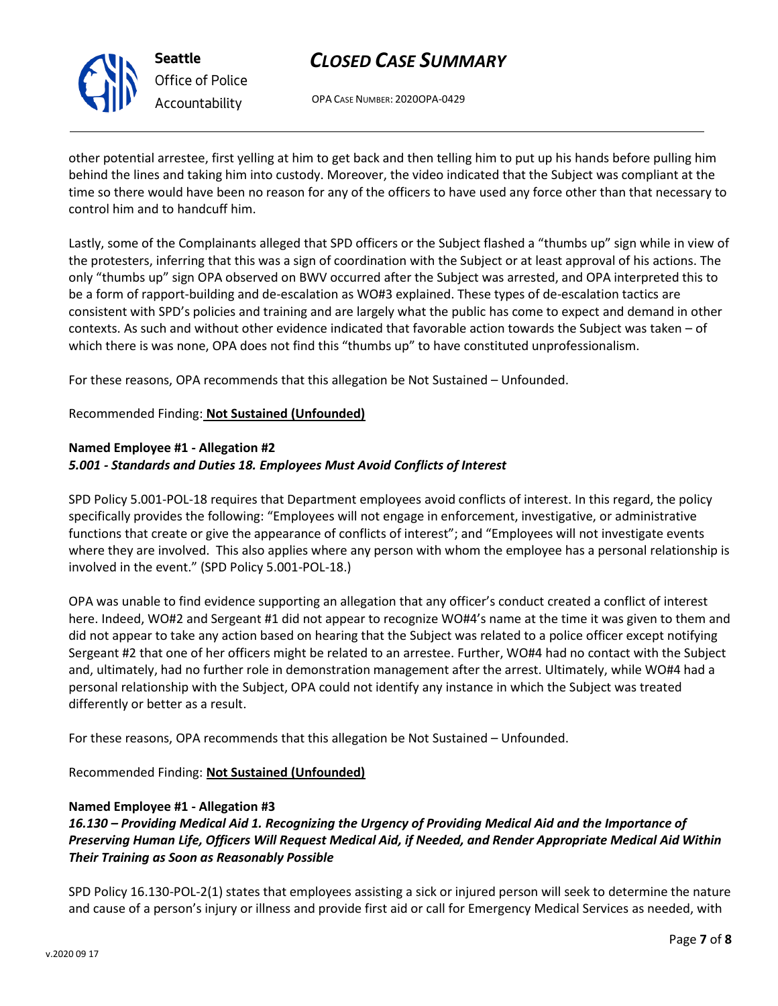

# *Office of Police Accountability*

# *CLOSED CASE SUMMARY*

OPA CASE NUMBER: 2020OPA-0429

other potential arrestee, first yelling at him to get back and then telling him to put up his hands before pulling him behind the lines and taking him into custody. Moreover, the video indicated that the Subject was compliant at the time so there would have been no reason for any of the officers to have used any force other than that necessary to control him and to handcuff him.

Lastly, some of the Complainants alleged that SPD officers or the Subject flashed a "thumbs up" sign while in view of the protesters, inferring that this was a sign of coordination with the Subject or at least approval of his actions. The only "thumbs up" sign OPA observed on BWV occurred after the Subject was arrested, and OPA interpreted this to be a form of rapport-building and de-escalation as WO#3 explained. These types of de-escalation tactics are consistent with SPD's policies and training and are largely what the public has come to expect and demand in other contexts. As such and without other evidence indicated that favorable action towards the Subject was taken – of which there is was none, OPA does not find this "thumbs up" to have constituted unprofessionalism.

For these reasons, OPA recommends that this allegation be Not Sustained – Unfounded.

Recommended Finding: **Not Sustained (Unfounded)**

## **Named Employee #1 - Allegation #2**

## *5.001 - Standards and Duties 18. Employees Must Avoid Conflicts of Interest*

SPD Policy 5.001-POL-18 requires that Department employees avoid conflicts of interest. In this regard, the policy specifically provides the following: "Employees will not engage in enforcement, investigative, or administrative functions that create or give the appearance of conflicts of interest"; and "Employees will not investigate events where they are involved. This also applies where any person with whom the employee has a personal relationship is involved in the event." (SPD Policy 5.001-POL-18.)

OPA was unable to find evidence supporting an allegation that any officer's conduct created a conflict of interest here. Indeed, WO#2 and Sergeant #1 did not appear to recognize WO#4's name at the time it was given to them and did not appear to take any action based on hearing that the Subject was related to a police officer except notifying Sergeant #2 that one of her officers might be related to an arrestee. Further, WO#4 had no contact with the Subject and, ultimately, had no further role in demonstration management after the arrest. Ultimately, while WO#4 had a personal relationship with the Subject, OPA could not identify any instance in which the Subject was treated differently or better as a result.

For these reasons, OPA recommends that this allegation be Not Sustained – Unfounded.

Recommended Finding: **Not Sustained (Unfounded)**

## **Named Employee #1 - Allegation #3**

*16.130 – Providing Medical Aid 1. Recognizing the Urgency of Providing Medical Aid and the Importance of Preserving Human Life, Officers Will Request Medical Aid, if Needed, and Render Appropriate Medical Aid Within Their Training as Soon as Reasonably Possible*

SPD Policy 16.130-POL-2(1) states that employees assisting a sick or injured person will seek to determine the nature and cause of a person's injury or illness and provide first aid or call for Emergency Medical Services as needed, with